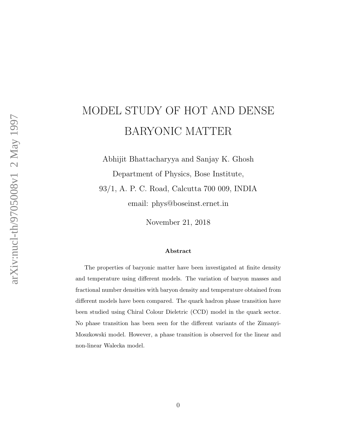# MODEL STUDY OF HOT AND DENSE BARYONIC MATTER

Abhijit Bhattacharyya and Sanjay K. Ghosh Department of Physics, Bose Institute, 93/1, A. P. C. Road, Calcutta 700 009, INDIA email: phys@boseinst.ernet.in

November 21, 2018

#### Abstract

The properties of baryonic matter have been investigated at finite density and temperature using different models. The variation of baryon masses and fractional number densities with baryon density and temperature obtained from different models have been compared. The quark hadron phase transition have been studied using Chiral Colour Dieletric (CCD) model in the quark sector. No phase transition has been seen for the different variants of the Zimanyi-Moszkowski model. However, a phase transition is observed for the linear and non-linear Walecka model.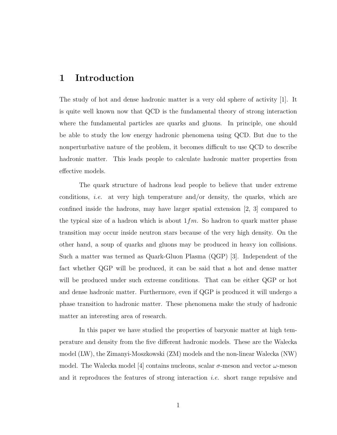#### 1 Introduction

The study of hot and dense hadronic matter is a very old sphere of activity [1]. It is quite well known now that QCD is the fundamental theory of strong interaction where the fundamental particles are quarks and gluons. In principle, one should be able to study the low energy hadronic phenomena using QCD. But due to the nonperturbative nature of the problem, it becomes difficult to use QCD to describe hadronic matter. This leads people to calculate hadronic matter properties from effective models.

The quark structure of hadrons lead people to believe that under extreme conditions, *i.e.* at very high temperature and/or density, the quarks, which are confined inside the hadrons, may have larger spatial extension [2, 3] compared to the typical size of a hadron which is about  $1 fm$ . So hadron to quark matter phase transition may occur inside neutron stars because of the very high density. On the other hand, a soup of quarks and gluons may be produced in heavy ion collisions. Such a matter was termed as Quark-Gluon Plasma (QGP) [3]. Independent of the fact whether QGP will be produced, it can be said that a hot and dense matter will be produced under such extreme conditions. That can be either QGP or hot and dense hadronic matter. Furthermore, even if QGP is produced it will undergo a phase transition to hadronic matter. These phenomena make the study of hadronic matter an interesting area of research.

In this paper we have studied the properties of baryonic matter at high temperature and density from the five different hadronic models. These are the Walecka model (LW), the Zimanyi-Moszkowski (ZM) models and the non-linear Walecka (NW) model. The Walecka model [4] contains nucleons, scalar  $\sigma$ -meson and vector  $\omega$ -meson and it reproduces the features of strong interaction i.e. short range repulsive and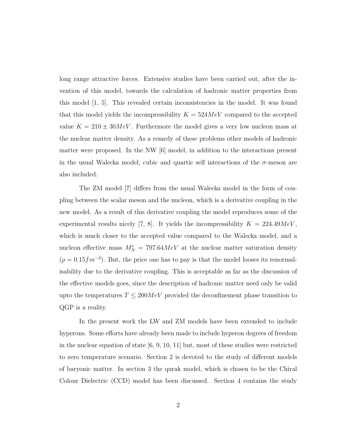long range attractive forces. Extensive studies have been carried out, after the invention of this model, towards the calculation of hadronic matter properties from this model [1, 5]. This revealed certain inconsistencies in the model. It was found that this model yields the incompressibility  $K = 524 MeV$  compared to the accepted value  $K = 210 \pm 30 MeV$ . Furthermore the model gives a very low nucleon mass at the nuclear matter density. As a remedy of these problems other models of hadronic matter were proposed. In the NW [6] model, in addition to the interactions present in the usual Walecka model, cubic and quartic self interactions of the  $\sigma$ -meson are also included.

The ZM model [7] differs from the usual Walecka model in the form of coupling between the scalar meson and the nucleon, which is a derivative coupling in the new model. As a result of this derivative coupling the model reproduces some of the experimental results nicely [7, 8]. It yields the incompressibility  $K = 224.49 MeV$ , which is much closer to the accepted value compared to the Walecka model, and a nucleon effective mass  $M_N^* = 797.64 MeV$  at the nuclear matter saturation density  $(\rho = 0.15 fm^{-3})$ . But, the price one has to pay is that the model looses its renormalisability due to the derivative coupling. This is acceptable as far as the discussion of the effective models goes, since the description of hadronic matter need only be valid upto the temperatures  $T \leq 200MeV$  provided the deconfinement phase transition to QGP is a reality.

In the present work the LW and ZM models have been extended to include hyperons. Some efforts have already been made to include hyperon degrees of freedom in the nuclear equation of state [6, 9, 10, 11] but, most of these studies were restricted to zero temperature scenario. Section 2 is devoted to the study of different models of baryonic matter. In section 3 the qurak model, which is chosen to be the Chiral Colour Dielectric (CCD) model has been discussed. Section 4 contains the study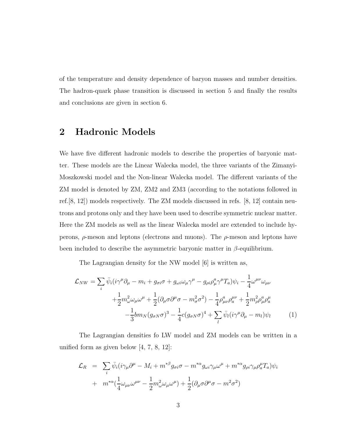of the temperature and density dependence of baryon masses and number densities. The hadron-quark phase transition is discussed in section 5 and finally the results and conclusions are given in section 6.

# 2 Hadronic Models

We have five different hadronic models to describe the properties of baryonic matter. These models are the Linear Walecka model, the three variants of the Zimanyi-Moszkowski model and the Non-linear Walecka model. The different variants of the ZM model is denoted by ZM, ZM2 and ZM3 (according to the notations followed in ref.[8, 12]) models respectively. The ZM models discussed in refs. [8, 12] contain neutrons and protons only and they have been used to describe symmetric nuclear matter. Here the ZM models as well as the linear Walecka model are extended to include hyperons,  $\rho$ -meson and leptons (electrons and muons). The  $\rho$ -meson and leptons have been included to describe the asymmetric baryonic matter in  $\beta$ -equilibrium.

The Lagrangian density for the NW model [6] is written as,

$$
\mathcal{L}_{NW} = \sum_{i} \bar{\psi}_{i} (i\gamma^{\mu} \partial_{\mu} - m_{i} + g_{\sigma i} \sigma + g_{\omega i} \omega_{\mu} \gamma^{\mu} - g_{\rho i} \rho_{\mu}^{a} \gamma^{\mu} T_{a}) \psi_{i} - \frac{1}{4} \omega^{\mu \nu} \omega_{\mu \nu} \n+ \frac{1}{2} m_{\omega}^{2} \omega_{\mu} \omega^{\mu} + \frac{1}{2} (\partial_{\mu} \sigma \partial^{\mu} \sigma - m_{\sigma}^{2} \sigma^{2}) - \frac{1}{4} \rho_{\mu \nu}^{a} \rho_{a}^{\mu \nu} + \frac{1}{2} m_{\rho}^{2} \rho_{\mu}^{a} \rho_{a}^{\mu} \n- \frac{1}{3} b m_{N} (g_{\sigma N} \sigma)^{3} - \frac{1}{4} c (g_{\sigma N} \sigma)^{4} + \sum_{l} \bar{\psi}_{l} (i \gamma^{\mu} \partial_{\mu} - m_{l}) \psi_{l}
$$
\n(1)

The Lagrangian densities fo LW model and ZM models can be written in a unified form as given below [4, 7, 8, 12]:

$$
\mathcal{L}_R = \sum_i \bar{\psi}_i (i\gamma_\mu \partial^\mu - M_i + m^{*\beta} g_{\sigma i} \sigma - m^{*\alpha} g_{\omega i} \gamma_\mu \omega^\mu + m^{*\alpha} g_{\rho i} \gamma_\mu \rho_a^\mu T_a) \psi_i
$$
  
+ 
$$
m^{*\alpha} (\frac{1}{4} \omega_{\mu\nu} \omega^{\mu\nu} - \frac{1}{2} m^2_{\omega} \omega_{\mu} \omega^\mu) + \frac{1}{2} (\partial_\mu \sigma \partial^\mu \sigma - m^2 \sigma^2)
$$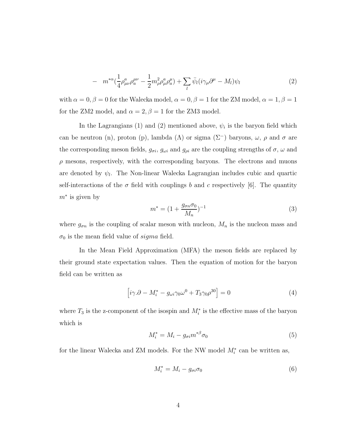$$
- m^{*\alpha} \left(\frac{1}{4}\rho^a_{\mu\nu}\rho_a^{\mu\nu} - \frac{1}{2}m^2_{\rho}\rho^a_{\mu}\rho_a^{\mu}\right) + \sum_l \bar{\psi}_l (i\gamma_\mu\partial^\mu - M_l)\psi_l \tag{2}
$$

with  $\alpha = 0, \beta = 0$  for the Walecka model,  $\alpha = 0, \beta = 1$  for the ZM model,  $\alpha = 1, \beta = 1$ for the ZM2 model, and  $\alpha = 2, \beta = 1$  for the ZM3 model.

In the Lagrangians (1) and (2) mentioned above,  $\psi_i$  is the baryon field which can be neutron (n), proton (p), lambda ( $\Lambda$ ) or sigma ( $\Sigma^-$ ) baryons,  $\omega$ ,  $\rho$  and  $\sigma$  are the corresponding meson fields,  $g_{\sigma i}$ ,  $g_{\omega i}$  and  $g_{\rho i}$  are the coupling strengths of  $\sigma$ ,  $\omega$  and  $\rho$  mesons, respectively, with the corresponding baryons. The electrons and muons are denoted by  $\psi_l$ . The Non-linear Walecka Lagrangian includes cubic and quartic self-interactions of the  $\sigma$  field with couplings b and c respectively [6]. The quantity  $m^*$  is given by

$$
m^* = (1 + \frac{g_{\sigma n} \sigma_0}{M_n})^{-1}
$$
\n(3)

where  $g_{\sigma n}$  is the coupling of scalar meson with nucleon,  $M_n$  is the nucleon mass and  $\sigma_0$  is the mean field value of *sigma* field.

In the Mean Field Approximation (MFA) the meson fields are replaced by their ground state expectation values. Then the equation of motion for the baryon field can be written as

$$
\[i\gamma.\partial - M_i^* - g_{\omega i}\gamma_0\omega^0 + T_3\gamma_0\rho^{30}\] = 0\tag{4}
$$

where  $T_3$  is the z-component of the isospin and  $M_i^*$  is the effective mass of the baryon which is

$$
M_i^* = M_i - g_{\sigma i} m^{*\beta} \sigma_0 \tag{5}
$$

for the linear Walecka and ZM models. For the NW model  $M_i^*$  can be written as,

$$
M_i^* = M_i - g_{\sigma i} \sigma_0 \tag{6}
$$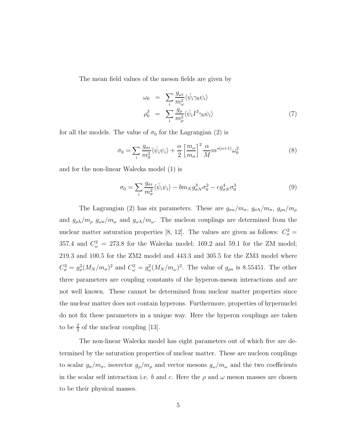The mean field values of the meson fields are given by

$$
\omega_0 = \sum_i \frac{g_{\omega i}}{m_{\omega}^2} \langle \bar{\psi}_i \gamma_0 \psi_i \rangle
$$
  
\n
$$
\rho_0^3 = \sum_i \frac{g_{\rho}}{m_{\rho}^2} \langle \bar{\psi}_i I^3 \gamma_0 \psi_i \rangle
$$
\n(7)

for all the models. The value of  $\sigma_0$  for the Lagrangian (2) is

$$
\sigma_0 = \sum_i \frac{g_{\sigma i}}{m_{\sigma}^2} \langle \bar{\psi}_i \psi_i \rangle + \frac{\alpha}{2} \left[ \frac{m_{\omega}}{m_{\sigma}} \right]^2 \frac{\alpha}{M} m^{*(\alpha+1)} \omega_0^2 \tag{8}
$$

and for the non-linear Walecka model (1) is

$$
\sigma_0 = \sum_i \frac{g_{\sigma i}}{m_{\sigma}^2} \langle \bar{\psi}_i \psi_i \rangle - b m_N g_{\sigma N}^3 \sigma_0^2 - c g_{\sigma N}^4 \sigma_0^3 \tag{9}
$$

The Lagrangian (2) has six parameters. These are  $g_{\sigma n}/m_{\sigma}$ ,  $g_{\sigma \Lambda}/m_{\sigma}$ ,  $g_{\rho n}/m_{\rho}$ and  $g_{\rho\Lambda}/m_{\rho}$   $g_{\omega n}/m_{\omega}$  and  $g_{\omega\Lambda}/m_{\omega}$ . The nucleon couplings are determined from the nuclear matter saturation properties [8, 12]. The values are given as follows:  $C_{\sigma}^2 =$ 357.4 and  $C_{\omega}^2 = 273.8$  for the Walecka model; 169.2 and 59.1 for the ZM model; 219.3 and 100.5 for the ZM2 model and 443.3 and 305.5 for the ZM3 model where  $C^2_{\sigma} = g^2_{\sigma} (M_N/m_{\sigma})^2$  and  $C^2_{\omega} = g^2_{\omega} (M_N/m_{\omega})^2$ . The value of  $g_{\rho n}$  is 8.55451. The other three parameters are coupling constants of the hyperon-meson interactions and are not well known. These cannot be determined from nuclear matter properties since the nuclear matter does not contain hyperons. Furthermore, properties of hypernuclei do not fix these parameters in a unique way. Here the hyperon couplings are taken to be  $\frac{2}{3}$  of the nuclear coupling [13].

The non-linear Walecka model has eight parameters out of which five are determined by the saturation properties of nuclear matter. These are nucleon couplings to scalar  $g_{\sigma}/m_{\sigma}$ , isovector  $g_{\rho}/m_{\rho}$  and vector mesons  $g_{\omega}/m_{\omega}$  and the two coefficients in the scalar self interaction i.e. b and c. Here the  $\rho$  and  $\omega$  meson masses are chosen to be their physical masses.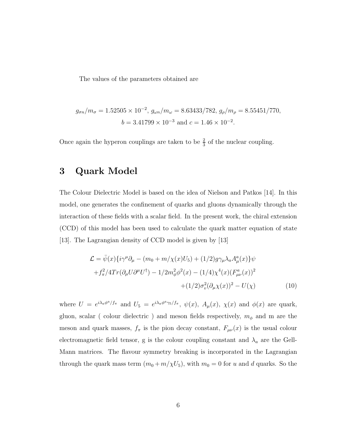The values of the parameters obtained are

$$
g_{\sigma n}/m_{\sigma} = 1.52505 \times 10^{-2}
$$
,  $g_{\omega n}/m_{\omega} = 8.63433/782$ ,  $g_{\rho}/m_{\rho} = 8.55451/770$ ,  
 $b = 3.41799 \times 10^{-3}$  and  $c = 1.46 \times 10^{-2}$ .

Once again the hyperon couplings are taken to be  $\frac{2}{3}$  of the nuclear coupling.

# 3 Quark Model

The Colour Dielectric Model is based on the idea of Nielson and Patkos [14]. In this model, one generates the confinement of quarks and gluons dynamically through the interaction of these fields with a scalar field. In the present work, the chiral extension (CCD) of this model has been used to calculate the quark matter equation of state [13]. The Lagrangian density of CCD model is given by [13]

$$
\mathcal{L} = \bar{\psi}(x)\{i\gamma^{\mu}\partial_{\mu} - (m_0 + m/\chi(x)U_5) + (1/2)g\gamma_{\mu}\lambda_a A_{\mu}^a(x)\}\psi \n+ f_{\pi}^2/4Tr(\partial_{\mu}U\partial^{\mu}U^{\dagger}) - 1/2m_{\phi}^2\phi^2(x) - (1/4)\chi^4(x)(F_{\mu\nu}^a(x))^2 \n+ (1/2)\sigma_{\nu}^2(\partial_{\mu}\chi(x))^2 - U(\chi)
$$
\n(10)

where  $U = e^{i\lambda_a \phi^a/f_\pi}$  and  $U_5 = e^{i\lambda_a \phi^a \gamma_5/f_\pi}$ ,  $\psi(x)$ ,  $A_\mu(x)$ ,  $\chi(x)$  and  $\phi(x)$  are quark, gluon, scalar ( colour dielectric ) and meson fields respectively,  $m_{\phi}$  and m are the meson and quark masses,  $f_{\pi}$  is the pion decay constant,  $F_{\mu\nu}(x)$  is the usual colour electromagnetic field tensor, g is the colour coupling constant and  $\lambda_a$  are the Gell-Mann matrices. The flavour symmetry breaking is incorporated in the Lagrangian through the quark mass term  $(m_0 + m/\chi U_5)$ , with  $m_0 = 0$  for u and d quarks. So the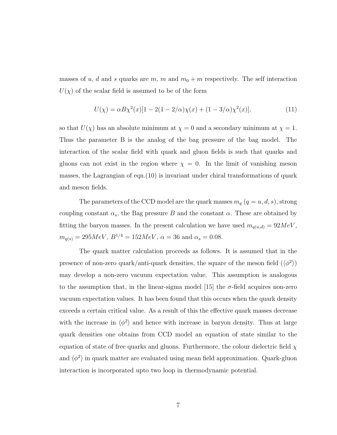masses of u, d and s quarks are m, m and  $m_0 + m$  respectively. The self interaction  $U(\chi)$  of the scalar field is assumed to be of the form

$$
U(\chi) = \alpha B \chi^2(x) [1 - 2(1 - 2/\alpha)\chi(x) + (1 - 3/\alpha)\chi^2(x)],
$$
\n(11)

so that  $U(\chi)$  has an absolute minimum at  $\chi = 0$  and a secondary minimum at  $\chi = 1$ . Thus the parameter B is the analog of the bag pressure of the bag model. The interaction of the scalar field with quark and gluon fields is such that quarks and gluons can not exist in the region where  $\chi = 0$ . In the limit of vanishing meson masses, the Lagrangian of eqn.(10) is invariant under chiral transformations of quark and meson fields.

The parameters of the CCD model are the quark masses  $m_q$   $(q = u, d, s)$ , strong coupling constant  $\alpha_s$ , the Bag pressure B and the constant  $\alpha$ . These are obtained by fitting the baryon masses. In the present calculation we have used  $m_{q(u,d)} = 92MeV$ ,  $m_{q(s)} = 295 MeV, B^{1/4} = 152 MeV, \alpha = 36$  and  $\alpha_s = 0.08$ .

The quark matter calculation proceeds as follows. It is assumed that in the presence of non-zero quark/anti-quark densities, the square of the meson field  $(\langle \phi^2 \rangle)$ may develop a non-zero vacuum expectation value. This assumption is analogous to the assumption that, in the linear-sigma model [15] the  $\sigma$ -field acquires non-zero vacuum expectation values. It has been found that this occurs when the quark density exceeds a certain critical value. As a result of this the effective quark masses decrease with the increase in  $\langle \phi^2 \rangle$  and hence with increase in baryon density. Thus at large quark densities one obtains from CCD model an equation of state similar to the equation of state of free quarks and gluons. Furthermore, the colour dielectric field  $\chi$ and  $\langle \phi^2 \rangle$  in quark matter are evaluated using mean field approximation. Quark-gluon interaction is incorporated upto two loop in thermodynamic potential.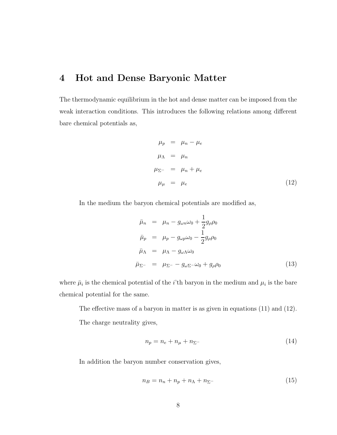## 4 Hot and Dense Baryonic Matter

The thermodynamic equilibrium in the hot and dense matter can be imposed from the weak interaction conditions. This introduces the following relations among different bare chemical potentials as,

$$
\mu_p = \mu_n - \mu_e
$$
  
\n
$$
\mu_{\Lambda} = \mu_n
$$
  
\n
$$
\mu_{\Sigma^-} = \mu_n + \mu_e
$$
  
\n
$$
\mu_{\mu} = \mu_e
$$
\n(12)

In the medium the baryon chemical potentials are modified as,

$$
\bar{\mu}_n = \mu_n - g_{\omega n} \omega_0 + \frac{1}{2} g_{\rho} \rho_0
$$
\n
$$
\bar{\mu}_p = \mu_p - g_{\omega p} \omega_0 - \frac{1}{2} g_{\rho} \rho_0
$$
\n
$$
\bar{\mu}_{\Lambda} = \mu_{\Lambda} - g_{\omega \Lambda} \omega_0
$$
\n
$$
\bar{\mu}_{\Sigma^-} = \mu_{\Sigma^-} - g_{\omega \Sigma^-} \omega_0 + g_{\rho} \rho_0
$$
\n(13)

where  $\bar{\mu}_i$  is the chemical potential of the *i*'th baryon in the medium and  $\mu_i$  is the bare chemical potential for the same.

The effective mass of a baryon in matter is as given in equations (11) and (12).

The charge neutrality gives,

$$
n_p = n_e + n_\mu + n_{\Sigma^-} \tag{14}
$$

In addition the baryon number conservation gives,

$$
n_B = n_n + n_p + n_\Lambda + n_{\Sigma^-} \tag{15}
$$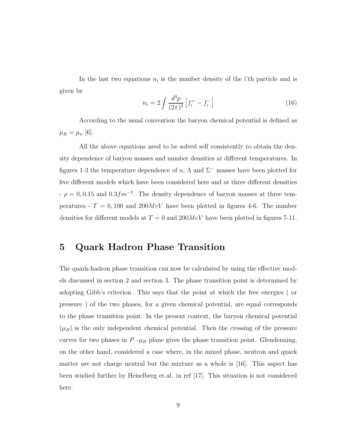In the last two equations  $n_i$  is the number density of the i'th particle and is given by

$$
n_i = 2 \int \frac{d^3 p}{(2\pi)^3} \left[ f_i^+ - f_i^- \right] \tag{16}
$$

According to the usual convention the baryon chemical potential is defined as  $\mu_B = \mu_n$  [6].

All the above equations need to be solved self consistently to obtain the density dependence of baryon masses and number densities at different temperatures. In figures 1-3 the temperature dependence of n,  $\Lambda$  and  $\Sigma^-$  masses have been plotted for five different models which have been considered here and at three different densities  $-\rho = 0, 0.15$  and  $0.3fm^{-3}$ . The density dependence of baryon masses at three temperatures -  $T = 0,100$  and  $200MeV$  have been plotted in figures 4-6. The number densities for different models at  $T = 0$  and  $200MeV$  have been plotted in figures 7-11.

### 5 Quark Hadron Phase Transition

The quark-hadron phase transition can now be calculated by using the effective models discussed in section 2 and section 3. The phase transition point is determined by adopting Gibb's criterion. This says that the point at which the free energies ( or pressure ) of the two phases, for a given chemical potential, are equal corresponds to the phase transition point. In the present context, the baryon chemical potential  $(\mu_B)$  is the only independent chemical potential. Then the crossing of the pressure curves for two phases in  $P - \mu_B$  plane gives the phase transition point. Glendenning, on the other hand, considered a case where, in the mixed phase, neutron and quark matter are not charge neutral but the mixture as a whole is [16]. This aspect has been studied further by Heiselberg et.al. in ref [17]. This situation is not considered here.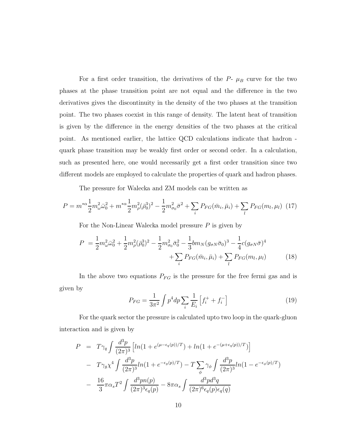For a first order transition, the derivatives of the  $P- \mu_B$  curve for the two phases at the phase transition point are not equal and the difference in the two derivatives gives the discontinuity in the density of the two phases at the transition point. The two phases coexist in this range of density. The latent heat of transition is given by the difference in the energy densities of the two phases at the critical point. As mentioned earlier, the lattice QCD calculations indicate that hadron quark phase transition may be weakly first order or second order. In a calculation, such as presented here, one would necessarily get a first order transition since two different models are employed to calculate the properties of quark and hadron phases.

The pressure for Walecka and ZM models can be written as

$$
P = m^{*\alpha} \frac{1}{2} m_{\omega}^2 \bar{\omega}_0^2 + m^{*\alpha} \frac{1}{2} m_{\rho}^2 (\bar{\rho}_0^3)^2 - \frac{1}{2} m_{\sigma_0}^2 \bar{\sigma}^2 + \sum_i P_{FG}(\bar{m}_i, \bar{\mu}_i) + \sum_l P_{FG}(m_l, \mu_l)
$$
(17)

For the Non-Linear Walecka model pressure  $P$  is given by

$$
P = \frac{1}{2}m_{\omega}^{2}\bar{\omega}_{0}^{2} + \frac{1}{2}m_{\rho}^{2}(\bar{\rho}_{0}^{3})^{2} - \frac{1}{2}m_{\sigma_{0}}^{2}\bar{\sigma}_{0}^{2} - \frac{1}{3}bm_{N}(g_{\sigma N}\bar{\sigma}_{0})^{3} - \frac{1}{4}c(g_{\sigma N}\bar{\sigma})^{4} + \sum_{i}P_{FG}(\bar{m}_{i}, \bar{\mu}_{i}) + \sum_{l}P_{FG}(m_{l}, \mu_{l})
$$
(18)

In the above two equations  $P_{FG}$  is the pressure for the free fermi gas and is given by

$$
P_{FG} = \frac{1}{3\pi^2} \int p^4 dp \sum_i \frac{1}{E_i} \left[ f_i^+ + f_i^- \right] \tag{19}
$$

For the quark sector the pressure is calculated upto two loop in the quark-gluon interaction and is given by

$$
P = T\gamma_q \int \frac{d^3p}{(2\pi)^3} \left[ ln(1 + e^{(\mu - \epsilon_q(p))/T}) + ln(1 + e^{-(\mu + \epsilon_q(p))/T}) \right]
$$
  
- 
$$
T\gamma_g \chi^4 \int \frac{d^3p}{(2\pi)^3} ln(1 + e^{-\epsilon_g(p)/T}) - T \sum_{\phi} \gamma_{\phi} \int \frac{d^3p}{(2\pi)^3} ln(1 - e^{-\epsilon_{\phi}(p)/T})
$$
  
- 
$$
\frac{16}{3} \pi \alpha_s T^2 \int \frac{d^3pn(p)}{(2\pi)^3 \epsilon_q(p)} - 8\pi \alpha_s \int \frac{d^3pd^3q}{(2\pi)^6 \epsilon_q(p) \epsilon_q(q)}
$$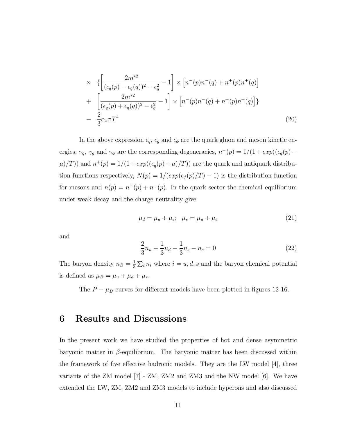$$
\times \left\{ \left[ \frac{2m^{*2}}{(\epsilon_q(p) - \epsilon_q(q))^2 - \epsilon_g^2} - 1 \right] \times \left[ n^-(p)n^-(q) + n^+(p)n^+(q) \right] + \left[ \frac{2m^{*2}}{(\epsilon_q(p) + \epsilon_q(q))^2 - \epsilon_g^2} - 1 \right] \times \left[ n^-(p)n^-(q) + n^+(p)n^+(q) \right] \right\}
$$
  
- 
$$
\frac{2}{3} \alpha_s \pi T^4
$$
 (20)

In the above expression  $\epsilon_q$ ,  $\epsilon_g$  and  $\epsilon_\phi$  are the quark gluon and meson kinetic energies,  $\gamma_q$ ,  $\gamma_g$  and  $\gamma_\phi$  are the corresponding degeneracies,  $n^-(p) = 1/(1 + exp((\epsilon_q(p) \mu$ /T)) and  $n^+(p) = 1/(1 + exp((\epsilon_q(p) + \mu)/T))$  are the quark and antiquark distribution functions respectively,  $N(p) = 1/(exp(\epsilon_{\phi}(p)/T) - 1)$  is the distribution function for mesons and  $n(p) = n^+(p) + n^-(p)$ . In the quark sector the chemical equilibrium under weak decay and the charge neutrality give

$$
\mu_d = \mu_u + \mu_e; \quad \mu_s = \mu_u + \mu_e \tag{21}
$$

and

$$
\frac{2}{3}n_u - \frac{1}{3}n_d - \frac{1}{3}n_s - n_e = 0
$$
\n(22)

The baryon density  $n_B = \frac{1}{3}$  $\frac{1}{3}\sum_i n_i$  where  $i = u, d, s$  and the baryon chemical potential is defined as  $\mu_B = \mu_u + \mu_d + \mu_s$ .

The  $P - \mu_B$  curves for different models have been plotted in figures 12-16.

#### 6 Results and Discussions

In the present work we have studied the properties of hot and dense asymmetric baryonic matter in  $\beta$ -equilibrium. The baryonic matter has been discussed within the framework of five effective hadronic models. They are the LW model [4], three variants of the ZM model [7] - ZM, ZM2 and ZM3 and the NW model [6]. We have extended the LW, ZM, ZM2 and ZM3 models to include hyperons and also discussed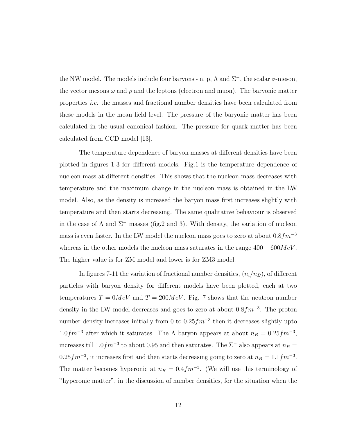the NW model. The models include four baryons - n, p,  $\Lambda$  and  $\Sigma^-$ , the scalar  $\sigma$ -meson, the vector mesons  $\omega$  and  $\rho$  and the leptons (electron and muon). The baryonic matter properties i.e. the masses and fractional number densities have been calculated from these models in the mean field level. The pressure of the baryonic matter has been calculated in the usual canonical fashion. The pressure for quark matter has been calculated from CCD model [13].

The temperature dependence of baryon masses at different densities have been plotted in figures 1-3 for different models. Fig.1 is the temperature dependence of nucleon mass at different densities. This shows that the nucleon mass decreases with temperature and the maximum change in the nucleon mass is obtained in the LW model. Also, as the density is increased the baryon mass first increases slightly with temperature and then starts decreasing. The same qualitative behaviour is observed in the case of  $\Lambda$  and  $\Sigma^-$  masses (fig.2 and 3). With density, the variation of nucleon mass is even faster. In the LW model the nucleon mass goes to zero at about  $0.8fm^{-3}$ whereas in the other models the nucleon mass saturates in the range  $400 - 600MeV$ . The higher value is for ZM model and lower is for ZM3 model.

In figures 7-11 the variation of fractional number densities,  $(n_i/n_B)$ , of different particles with baryon density for different models have been plotted, each at two temperatures  $T = 0MeV$  and  $T = 200MeV$ . Fig. 7 shows that the neutron number density in the LW model decreases and goes to zero at about  $0.8fm^{-3}$ . The proton number density increases initially from 0 to  $0.25 fm^{-3}$  then it decreases slightly upto  $1.0fm^{-3}$  after which it saturates. The  $\Lambda$  baryon appears at about  $n_B = 0.25fm^{-3}$ , increases till  $1.0fm^{-3}$  to about 0.95 and then saturates. The  $\Sigma^-$  also appears at  $n_B =$  $0.25fm^{-3}$ , it increases first and then starts decreasing going to zero at  $n_B = 1.1fm^{-3}$ . The matter becomes hyperonic at  $n_B = 0.4fm^{-3}$ . (We will use this terminology of "hyperonic matter", in the discussion of number densities, for the situation when the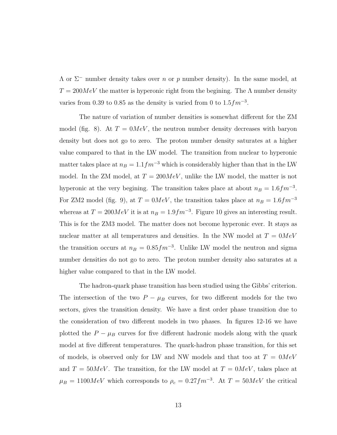$Λ$  or  $Σ^-$  number density takes over *n* or *p* number density). In the same model, at  $T = 200MeV$  the matter is hyperonic right from the begining. The  $\Lambda$  number density varies from 0.39 to 0.85 as the density is varied from 0 to  $1.5fm^{-3}$ .

The nature of variation of number densities is somewhat different for the ZM model (fig. 8). At  $T = 0MeV$ , the neutron number density decreases with baryon density but does not go to zero. The proton number density saturates at a higher value compared to that in the LW model. The transition from nuclear to hyperonic matter takes place at  $n_B = 1.1fm^{-3}$  which is considerably higher than that in the LW model. In the ZM model, at  $T = 200MeV$ , unlike the LW model, the matter is not hyperonic at the very begining. The transition takes place at about  $n_B = 1.6fm^{-3}$ . For ZM2 model (fig. 9), at  $T = 0MeV$ , the transition takes place at  $n_B = 1.6fm^{-3}$ whereas at  $T = 200MeV$  it is at  $n_B = 1.9fm^{-3}$ . Figure 10 gives an interesting result. This is for the ZM3 model. The matter does not become hyperonic ever. It stays as nuclear matter at all temperatures and densities. In the NW model at  $T = 0MeV$ the transition occurs at  $n_B = 0.85 fm^{-3}$ . Unlike LW model the neutron and sigma number densities do not go to zero. The proton number density also saturates at a higher value compared to that in the LW model.

The hadron-quark phase transition has been studied using the Gibbs' criterion. The intersection of the two  $P - \mu_B$  curves, for two different models for the two sectors, gives the transition density. We have a first order phase transition due to the consideration of two different models in two phases. In figures 12-16 we have plotted the  $P - \mu_B$  curves for five different hadronic models along with the quark model at five different temperatures. The quark-hadron phase transition, for this set of models, is observed only for LW and NW models and that too at  $T = 0MeV$ and  $T = 50MeV$ . The transition, for the LW model at  $T = 0MeV$ , takes place at  $\mu_B = 1100MeV$  which corresponds to  $\rho_c = 0.27fm^{-3}$ . At  $T = 50MeV$  the critical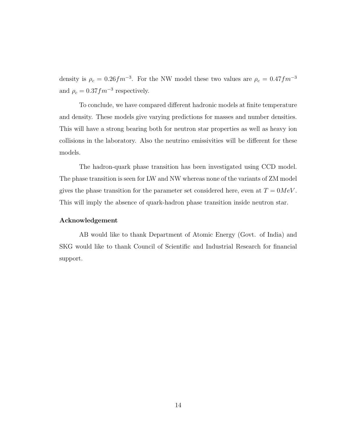density is  $\rho_c = 0.26 fm^{-3}$ . For the NW model these two values are  $\rho_c = 0.47 fm^{-3}$ and  $\rho_c = 0.37 fm^{-3}$  respectively.

To conclude, we have compared different hadronic models at finite temperature and density. These models give varying predictions for masses and number densities. This will have a strong bearing both for neutron star properties as well as heavy ion collisions in the laboratory. Also the neutrino emissivities will be different for these models.

The hadron-quark phase transition has been investigated using CCD model. The phase transition is seen for LW and NW whereas none of the variants of ZM model gives the phase transition for the parameter set considered here, even at  $T = 0MeV$ . This will imply the absence of quark-hadron phase transition inside neutron star.

#### Acknowledgement

AB would like to thank Department of Atomic Energy (Govt. of India) and SKG would like to thank Council of Scientific and Industrial Research for financial support.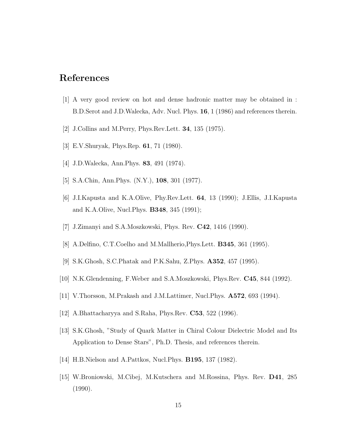# References

- [1] A very good review on hot and dense hadronic matter may be obtained in : B.D.Serot and J.D.Walecka, Adv. Nucl. Phys. 16, 1 (1986) and references therein.
- [2] J.Collins and M.Perry, Phys.Rev.Lett. 34, 135 (1975).
- [3] E.V.Shuryak, Phys.Rep. 61, 71 (1980).
- [4] J.D.Walecka, Ann.Phys. 83, 491 (1974).
- [5] S.A.Chin, Ann.Phys. (N.Y.), 108, 301 (1977).
- [6] J.I.Kapusta and K.A.Olive, Phy.Rev.Lett. 64, 13 (1990); J.Ellis, J.I.Kapusta and K.A.Olive, Nucl.Phys. B348, 345 (1991);
- [7] J.Zimanyi and S.A.Moszkowski, Phys. Rev. C42, 1416 (1990).
- [8] A.Delfino, C.T.Coelho and M.Mallherio,Phys.Lett. B345, 361 (1995).
- [9] S.K.Ghosh, S.C.Phatak and P.K.Sahu, Z.Phys. A352, 457 (1995).
- [10] N.K.Glendenning, F.Weber and S.A.Moszkowski, Phys.Rev. C45, 844 (1992).
- [11] V.Thorsson, M.Prakash and J.M.Lattimer, Nucl.Phys. A572, 693 (1994).
- [12] A.Bhattacharyya and S.Raha, Phys.Rev. C53, 522 (1996).
- [13] S.K.Ghosh, "Study of Quark Matter in Chiral Colour Dielectric Model and Its Application to Dense Stars", Ph.D. Thesis, and references therein.
- [14] H.B.Nielson and A.Pattkos, Nucl.Phys. B195, 137 (1982).
- [15] W.Broniowski, M.Cibej, M.Kutschera and M.Rossina, Phys. Rev. D41, 285 (1990).